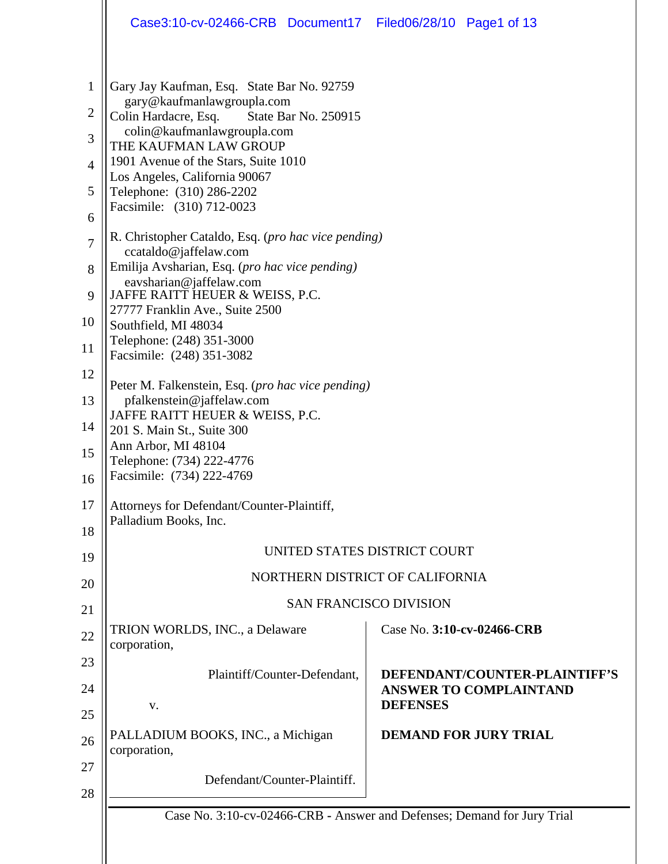|                                     | Case3:10-cv-02466-CRB Document17 Filed06/28/10 Page1 of 13                                                                                              |                                                                                   |  |  |  |
|-------------------------------------|---------------------------------------------------------------------------------------------------------------------------------------------------------|-----------------------------------------------------------------------------------|--|--|--|
| $\mathbf{1}$<br>$\overline{c}$<br>3 | Gary Jay Kaufman, Esq. State Bar No. 92759<br>gary@kaufmanlawgroupla.com<br>Colin Hardacre, Esq.<br>State Bar No. 250915<br>colin@kaufmanlawgroupla.com |                                                                                   |  |  |  |
|                                     | THE KAUFMAN LAW GROUP<br>1901 Avenue of the Stars, Suite 1010                                                                                           |                                                                                   |  |  |  |
| $\overline{4}$<br>5                 | Los Angeles, California 90067<br>Telephone: (310) 286-2202                                                                                              |                                                                                   |  |  |  |
| 6                                   | Facsimile: (310) 712-0023                                                                                                                               |                                                                                   |  |  |  |
| $\overline{7}$                      | R. Christopher Cataldo, Esq. (pro hac vice pending)<br>ccataldo@jaffelaw.com                                                                            |                                                                                   |  |  |  |
| 8                                   | Emilija Avsharian, Esq. (pro hac vice pending)                                                                                                          |                                                                                   |  |  |  |
| 9                                   | eavsharian@jaffelaw.com<br>JAFFE RAITT HEUER & WEISS, P.C.                                                                                              |                                                                                   |  |  |  |
| 10                                  | 27777 Franklin Ave., Suite 2500<br>Southfield, MI 48034                                                                                                 |                                                                                   |  |  |  |
| 11                                  | Telephone: (248) 351-3000<br>Facsimile: (248) 351-3082                                                                                                  |                                                                                   |  |  |  |
| 12                                  | Peter M. Falkenstein, Esq. (pro hac vice pending)                                                                                                       |                                                                                   |  |  |  |
| 13                                  | pfalkenstein@jaffelaw.com<br>JAFFE RAITT HEUER & WEISS, P.C.                                                                                            |                                                                                   |  |  |  |
| 14                                  | 201 S. Main St., Suite 300                                                                                                                              |                                                                                   |  |  |  |
| 15                                  | Ann Arbor, MI 48104                                                                                                                                     |                                                                                   |  |  |  |
| 16                                  | Telephone: (734) 222-4776<br>Facsimile: (734) 222-4769                                                                                                  |                                                                                   |  |  |  |
| 17                                  | Attorneys for Defendant/Counter-Plaintiff,                                                                                                              |                                                                                   |  |  |  |
| 18                                  | Palladium Books, Inc.                                                                                                                                   |                                                                                   |  |  |  |
| 19                                  |                                                                                                                                                         | UNITED STATES DISTRICT COURT                                                      |  |  |  |
| 20                                  |                                                                                                                                                         | NORTHERN DISTRICT OF CALIFORNIA                                                   |  |  |  |
| 21                                  | <b>SAN FRANCISCO DIVISION</b>                                                                                                                           |                                                                                   |  |  |  |
| 22                                  | TRION WORLDS, INC., a Delaware<br>corporation,                                                                                                          | Case No. 3:10-cv-02466-CRB                                                        |  |  |  |
| 23                                  |                                                                                                                                                         |                                                                                   |  |  |  |
| 24                                  | Plaintiff/Counter-Defendant,<br>V.                                                                                                                      | DEFENDANT/COUNTER-PLAINTIFF'S<br><b>ANSWER TO COMPLAINTAND</b><br><b>DEFENSES</b> |  |  |  |
| 25                                  |                                                                                                                                                         |                                                                                   |  |  |  |
| 26                                  | PALLADIUM BOOKS, INC., a Michigan<br>corporation,                                                                                                       | <b>DEMAND FOR JURY TRIAL</b>                                                      |  |  |  |
| 27<br>28                            | Defendant/Counter-Plaintiff.                                                                                                                            |                                                                                   |  |  |  |
|                                     | Case No. 3:10-cv-02466-CRB - Answer and Defenses; Demand for Jury Trial                                                                                 |                                                                                   |  |  |  |
|                                     |                                                                                                                                                         |                                                                                   |  |  |  |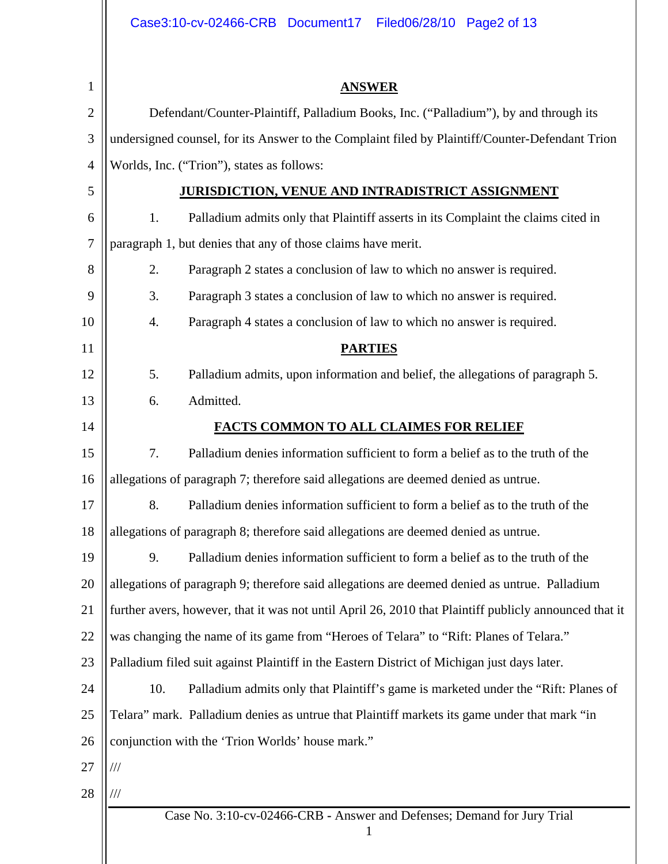|                | Case3:10-cv-02466-CRB Document17 Filed06/28/10 Page2 of 13                                             |
|----------------|--------------------------------------------------------------------------------------------------------|
|                |                                                                                                        |
| 1              | <b>ANSWER</b>                                                                                          |
| $\overline{2}$ | Defendant/Counter-Plaintiff, Palladium Books, Inc. ("Palladium"), by and through its                   |
| 3              | undersigned counsel, for its Answer to the Complaint filed by Plaintiff/Counter-Defendant Trion        |
| $\overline{4}$ | Worlds, Inc. ("Trion"), states as follows:                                                             |
| 5              | <b>JURISDICTION, VENUE AND INTRADISTRICT ASSIGNMENT</b>                                                |
| 6              | Palladium admits only that Plaintiff asserts in its Complaint the claims cited in<br>1.                |
| $\overline{7}$ | paragraph 1, but denies that any of those claims have merit.                                           |
| 8              | 2.<br>Paragraph 2 states a conclusion of law to which no answer is required.                           |
| 9              | 3.<br>Paragraph 3 states a conclusion of law to which no answer is required.                           |
| 10             | 4.<br>Paragraph 4 states a conclusion of law to which no answer is required.                           |
| 11             | <b>PARTIES</b>                                                                                         |
| 12             | 5.<br>Palladium admits, upon information and belief, the allegations of paragraph 5.                   |
| 13             | Admitted.<br>6.                                                                                        |
| 14             | <b>FACTS COMMON TO ALL CLAIMES FOR RELIEF</b>                                                          |
| 15             | 7.<br>Palladium denies information sufficient to form a belief as to the truth of the                  |
| 16             | allegations of paragraph 7; therefore said allegations are deemed denied as untrue.                    |
| 17             | 8.<br>Palladium denies information sufficient to form a belief as to the truth of the                  |
| 18             | allegations of paragraph 8; therefore said allegations are deemed denied as untrue.                    |
| 19             | Palladium denies information sufficient to form a belief as to the truth of the<br>9.                  |
| 20             | allegations of paragraph 9; therefore said allegations are deemed denied as untrue. Palladium          |
| 21             | further avers, however, that it was not until April 26, 2010 that Plaintiff publicly announced that it |
| 22             | was changing the name of its game from "Heroes of Telara" to "Rift: Planes of Telara."                 |
| 23             | Palladium filed suit against Plaintiff in the Eastern District of Michigan just days later.            |
| 24             | Palladium admits only that Plaintiff's game is marketed under the "Rift: Planes of<br>10.              |
| 25             | Telara" mark. Palladium denies as untrue that Plaintiff markets its game under that mark "in           |
| 26             | conjunction with the 'Trion Worlds' house mark."                                                       |
| 27             | ///                                                                                                    |
| 28             | ///                                                                                                    |
|                | Case No. 3:10-cv-02466-CRB - Answer and Defenses; Demand for Jury Trial<br>$\mathbf{1}$                |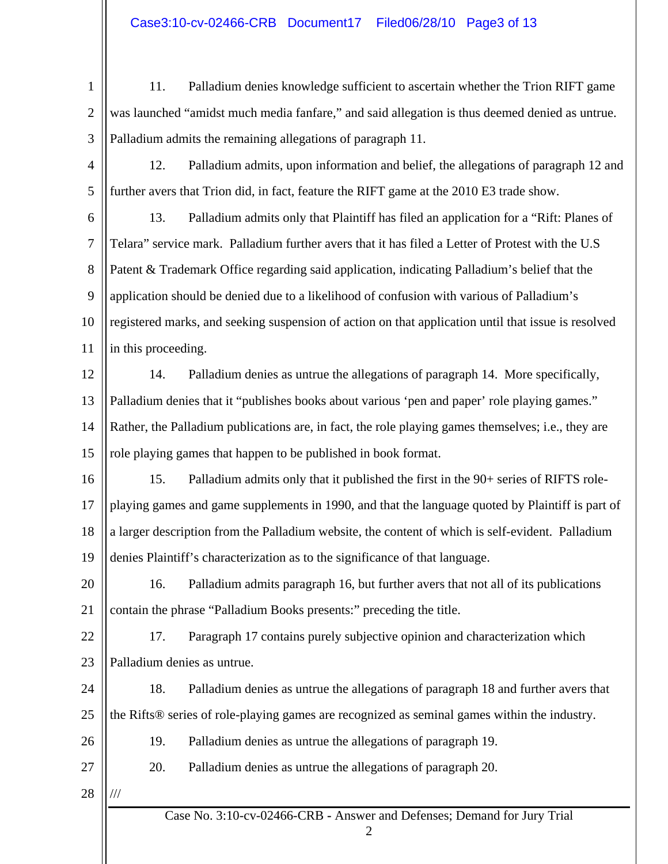- 1 2 3 11. Palladium denies knowledge sufficient to ascertain whether the Trion RIFT game was launched "amidst much media fanfare," and said allegation is thus deemed denied as untrue. Palladium admits the remaining allegations of paragraph 11.
- 4 5 12. Palladium admits, upon information and belief, the allegations of paragraph 12 and further avers that Trion did, in fact, feature the RIFT game at the 2010 E3 trade show.
- 6 7 8 9 10 11 13. Palladium admits only that Plaintiff has filed an application for a "Rift: Planes of Telara" service mark. Palladium further avers that it has filed a Letter of Protest with the U.S Patent & Trademark Office regarding said application, indicating Palladium's belief that the application should be denied due to a likelihood of confusion with various of Palladium's registered marks, and seeking suspension of action on that application until that issue is resolved in this proceeding.
- 12 13 14 15 14. Palladium denies as untrue the allegations of paragraph 14. More specifically, Palladium denies that it "publishes books about various 'pen and paper' role playing games." Rather, the Palladium publications are, in fact, the role playing games themselves; i.e., they are role playing games that happen to be published in book format.
- 16 17 18 19 15. Palladium admits only that it published the first in the 90+ series of RIFTS roleplaying games and game supplements in 1990, and that the language quoted by Plaintiff is part of a larger description from the Palladium website, the content of which is self-evident. Palladium denies Plaintiff's characterization as to the significance of that language.
- 20 21 16. Palladium admits paragraph 16, but further avers that not all of its publications contain the phrase "Palladium Books presents:" preceding the title.
- 22 23 17. Paragraph 17 contains purely subjective opinion and characterization which Palladium denies as untrue.
- 24 25 18. Palladium denies as untrue the allegations of paragraph 18 and further avers that the Rifts® series of role-playing games are recognized as seminal games within the industry.
	- 19. Palladium denies as untrue the allegations of paragraph 19.
	- 20. Palladium denies as untrue the allegations of paragraph 20.
- 28 ///

26

27

2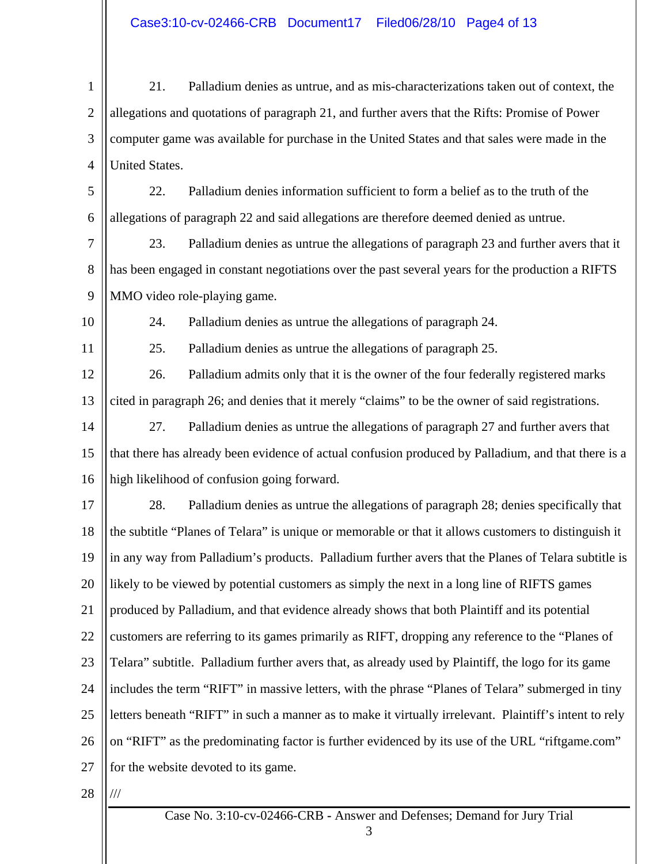1 2 3 4 21. Palladium denies as untrue, and as mis-characterizations taken out of context, the allegations and quotations of paragraph 21, and further avers that the Rifts: Promise of Power computer game was available for purchase in the United States and that sales were made in the United States.

5 6 22. Palladium denies information sufficient to form a belief as to the truth of the allegations of paragraph 22 and said allegations are therefore deemed denied as untrue.

7 8 9 23. Palladium denies as untrue the allegations of paragraph 23 and further avers that it has been engaged in constant negotiations over the past several years for the production a RIFTS MMO video role-playing game.

10

24. Palladium denies as untrue the allegations of paragraph 24.

11

25. Palladium denies as untrue the allegations of paragraph 25.

12 13 26. Palladium admits only that it is the owner of the four federally registered marks cited in paragraph 26; and denies that it merely "claims" to be the owner of said registrations.

14 15 16 27. Palladium denies as untrue the allegations of paragraph 27 and further avers that that there has already been evidence of actual confusion produced by Palladium, and that there is a high likelihood of confusion going forward.

17 18 19 20 21 22 23 24 25 26 27 28. Palladium denies as untrue the allegations of paragraph 28; denies specifically that the subtitle "Planes of Telara" is unique or memorable or that it allows customers to distinguish it in any way from Palladium's products. Palladium further avers that the Planes of Telara subtitle is likely to be viewed by potential customers as simply the next in a long line of RIFTS games produced by Palladium, and that evidence already shows that both Plaintiff and its potential customers are referring to its games primarily as RIFT, dropping any reference to the "Planes of Telara" subtitle. Palladium further avers that, as already used by Plaintiff, the logo for its game includes the term "RIFT" in massive letters, with the phrase "Planes of Telara" submerged in tiny letters beneath "RIFT" in such a manner as to make it virtually irrelevant. Plaintiff's intent to rely on "RIFT" as the predominating factor is further evidenced by its use of the URL "riftgame.com" for the website devoted to its game.

28

///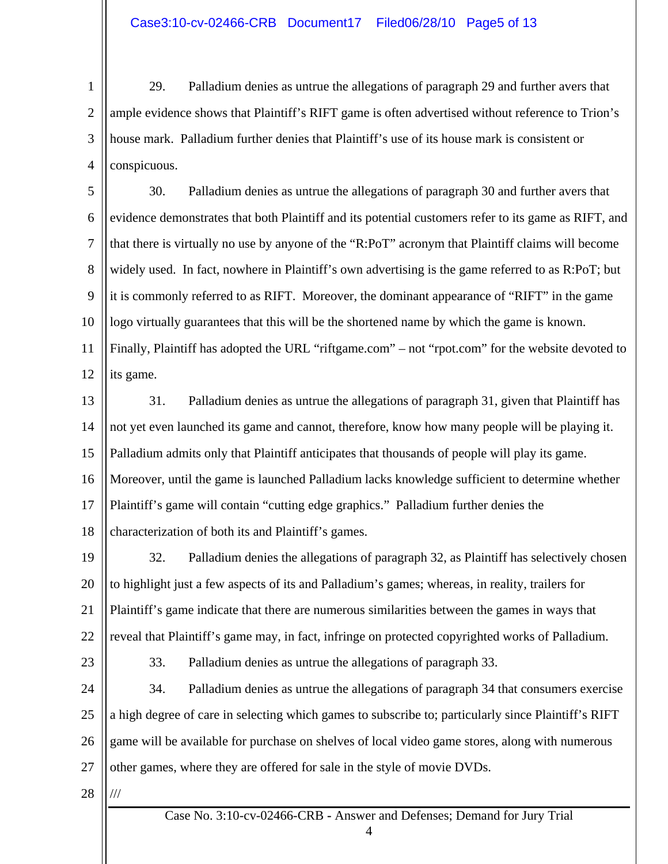1 2 3 4 29. Palladium denies as untrue the allegations of paragraph 29 and further avers that ample evidence shows that Plaintiff's RIFT game is often advertised without reference to Trion's house mark. Palladium further denies that Plaintiff's use of its house mark is consistent or conspicuous.

5 6 7 8 9 10 11 12 30. Palladium denies as untrue the allegations of paragraph 30 and further avers that evidence demonstrates that both Plaintiff and its potential customers refer to its game as RIFT, and that there is virtually no use by anyone of the "R:PoT" acronym that Plaintiff claims will become widely used. In fact, nowhere in Plaintiff's own advertising is the game referred to as R:PoT; but it is commonly referred to as RIFT. Moreover, the dominant appearance of "RIFT" in the game logo virtually guarantees that this will be the shortened name by which the game is known. Finally, Plaintiff has adopted the URL "riftgame.com" – not "rpot.com" for the website devoted to its game.

13

14 15 16 17 18 31. Palladium denies as untrue the allegations of paragraph 31, given that Plaintiff has not yet even launched its game and cannot, therefore, know how many people will be playing it. Palladium admits only that Plaintiff anticipates that thousands of people will play its game. Moreover, until the game is launched Palladium lacks knowledge sufficient to determine whether Plaintiff's game will contain "cutting edge graphics." Palladium further denies the characterization of both its and Plaintiff's games.

19 20 21 22 32. Palladium denies the allegations of paragraph 32, as Plaintiff has selectively chosen to highlight just a few aspects of its and Palladium's games; whereas, in reality, trailers for Plaintiff's game indicate that there are numerous similarities between the games in ways that reveal that Plaintiff's game may, in fact, infringe on protected copyrighted works of Palladium.

23

33. Palladium denies as untrue the allegations of paragraph 33.

24 25 26 27 34. Palladium denies as untrue the allegations of paragraph 34 that consumers exercise a high degree of care in selecting which games to subscribe to; particularly since Plaintiff's RIFT game will be available for purchase on shelves of local video game stores, along with numerous other games, where they are offered for sale in the style of movie DVDs.

28

///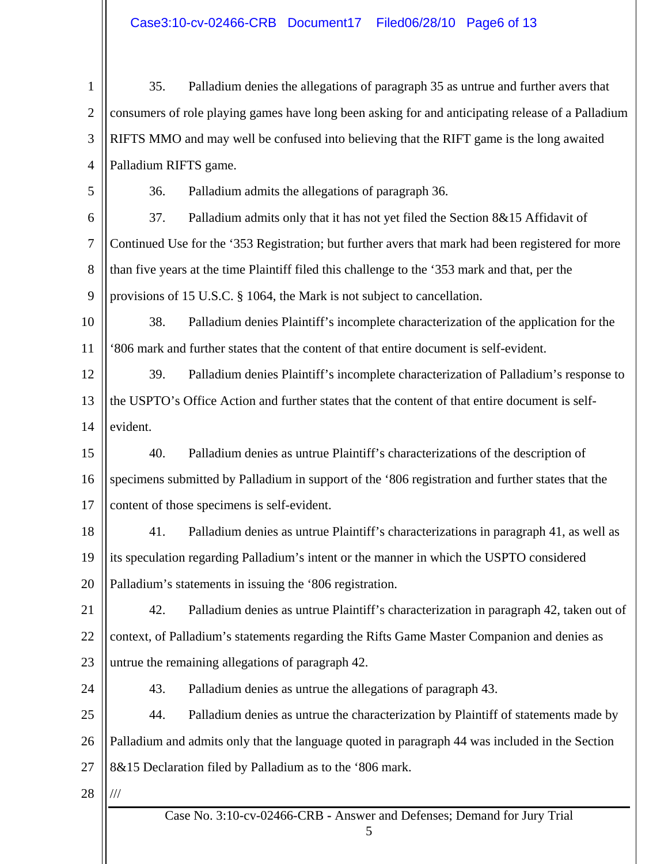1 2 3 4 5 6 7 8 9 10 11 12 13 14 15 16 17 18 19 20 21 22 23 24 25 26 27 28 35. Palladium denies the allegations of paragraph 35 as untrue and further avers that consumers of role playing games have long been asking for and anticipating release of a Palladium RIFTS MMO and may well be confused into believing that the RIFT game is the long awaited Palladium RIFTS game. 36. Palladium admits the allegations of paragraph 36. 37. Palladium admits only that it has not yet filed the Section 8&15 Affidavit of Continued Use for the '353 Registration; but further avers that mark had been registered for more than five years at the time Plaintiff filed this challenge to the '353 mark and that, per the provisions of 15 U.S.C. § 1064, the Mark is not subject to cancellation. 38. Palladium denies Plaintiff's incomplete characterization of the application for the '806 mark and further states that the content of that entire document is self-evident. 39. Palladium denies Plaintiff's incomplete characterization of Palladium's response to the USPTO's Office Action and further states that the content of that entire document is selfevident. 40. Palladium denies as untrue Plaintiff's characterizations of the description of specimens submitted by Palladium in support of the '806 registration and further states that the content of those specimens is self-evident. 41. Palladium denies as untrue Plaintiff's characterizations in paragraph 41, as well as its speculation regarding Palladium's intent or the manner in which the USPTO considered Palladium's statements in issuing the '806 registration. 42. Palladium denies as untrue Plaintiff's characterization in paragraph 42, taken out of context, of Palladium's statements regarding the Rifts Game Master Companion and denies as untrue the remaining allegations of paragraph 42. 43. Palladium denies as untrue the allegations of paragraph 43. 44. Palladium denies as untrue the characterization by Plaintiff of statements made by Palladium and admits only that the language quoted in paragraph 44 was included in the Section 8&15 Declaration filed by Palladium as to the '806 mark. ///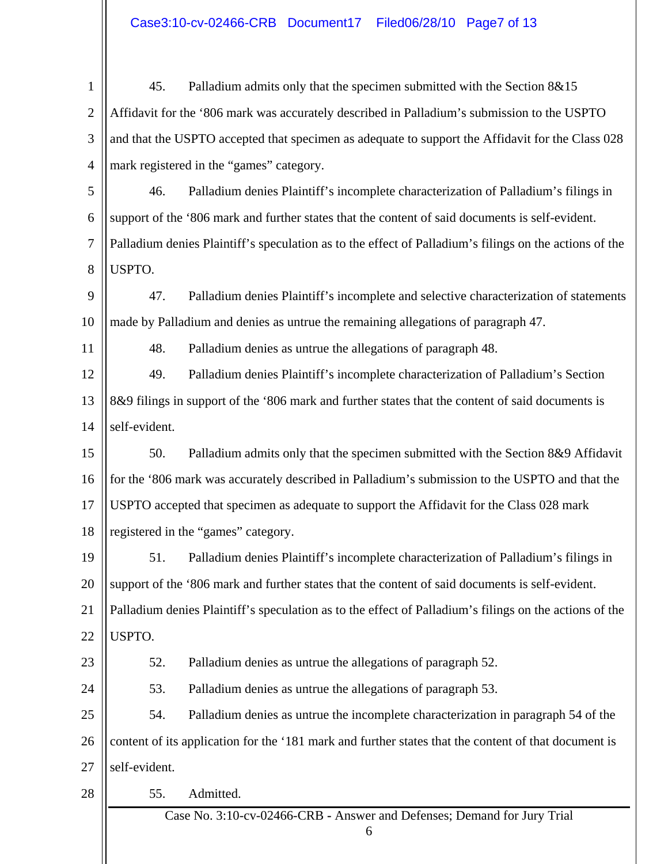1 2 3 4 5 6 7 8 9 10 11 12 13 14 15 16 17 18 19 20 21 22 23 24 25 26 27 45. Palladium admits only that the specimen submitted with the Section 8&15 Affidavit for the '806 mark was accurately described in Palladium's submission to the USPTO and that the USPTO accepted that specimen as adequate to support the Affidavit for the Class 028 mark registered in the "games" category. 46. Palladium denies Plaintiff's incomplete characterization of Palladium's filings in support of the '806 mark and further states that the content of said documents is self-evident. Palladium denies Plaintiff's speculation as to the effect of Palladium's filings on the actions of the USPTO. 47. Palladium denies Plaintiff's incomplete and selective characterization of statements made by Palladium and denies as untrue the remaining allegations of paragraph 47. 48. Palladium denies as untrue the allegations of paragraph 48. 49. Palladium denies Plaintiff's incomplete characterization of Palladium's Section 8&9 filings in support of the '806 mark and further states that the content of said documents is self-evident. 50. Palladium admits only that the specimen submitted with the Section 8&9 Affidavit for the '806 mark was accurately described in Palladium's submission to the USPTO and that the USPTO accepted that specimen as adequate to support the Affidavit for the Class 028 mark registered in the "games" category. 51. Palladium denies Plaintiff's incomplete characterization of Palladium's filings in support of the '806 mark and further states that the content of said documents is self-evident. Palladium denies Plaintiff's speculation as to the effect of Palladium's filings on the actions of the USPTO. 52. Palladium denies as untrue the allegations of paragraph 52. 53. Palladium denies as untrue the allegations of paragraph 53. 54. Palladium denies as untrue the incomplete characterization in paragraph 54 of the content of its application for the '181 mark and further states that the content of that document is self-evident.

28

55. Admitted.

Case No. 3:10-cv-02466-CRB **-** Answer and Defenses; Demand for Jury Trial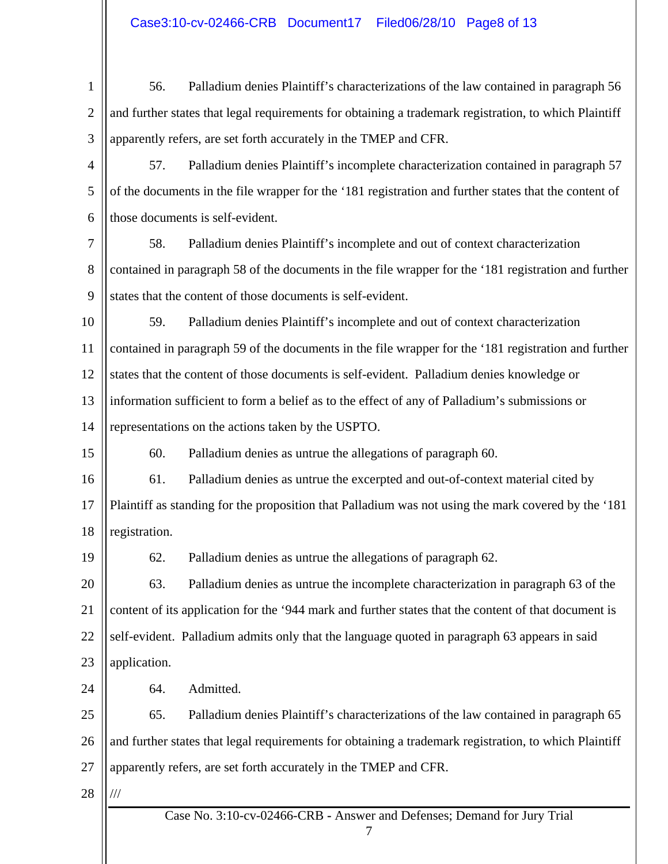Case No. 3:10-cv-02466-CRB **-** Answer and Defenses; Demand for Jury Trial 1 2 3 4 5 6 7 8 9 10 11 12 13 14 15 16 17 18 19 20 21 22 23 24 25 26 27 28 56. Palladium denies Plaintiff's characterizations of the law contained in paragraph 56 and further states that legal requirements for obtaining a trademark registration, to which Plaintiff apparently refers, are set forth accurately in the TMEP and CFR. 57. Palladium denies Plaintiff's incomplete characterization contained in paragraph 57 of the documents in the file wrapper for the '181 registration and further states that the content of those documents is self-evident. 58. Palladium denies Plaintiff's incomplete and out of context characterization contained in paragraph 58 of the documents in the file wrapper for the '181 registration and further states that the content of those documents is self-evident. 59. Palladium denies Plaintiff's incomplete and out of context characterization contained in paragraph 59 of the documents in the file wrapper for the '181 registration and further states that the content of those documents is self-evident. Palladium denies knowledge or information sufficient to form a belief as to the effect of any of Palladium's submissions or representations on the actions taken by the USPTO. 60. Palladium denies as untrue the allegations of paragraph 60. 61. Palladium denies as untrue the excerpted and out-of-context material cited by Plaintiff as standing for the proposition that Palladium was not using the mark covered by the '181 registration. 62. Palladium denies as untrue the allegations of paragraph 62. 63. Palladium denies as untrue the incomplete characterization in paragraph 63 of the content of its application for the '944 mark and further states that the content of that document is self-evident. Palladium admits only that the language quoted in paragraph 63 appears in said application. 64. Admitted. 65. Palladium denies Plaintiff's characterizations of the law contained in paragraph 65 and further states that legal requirements for obtaining a trademark registration, to which Plaintiff apparently refers, are set forth accurately in the TMEP and CFR. ///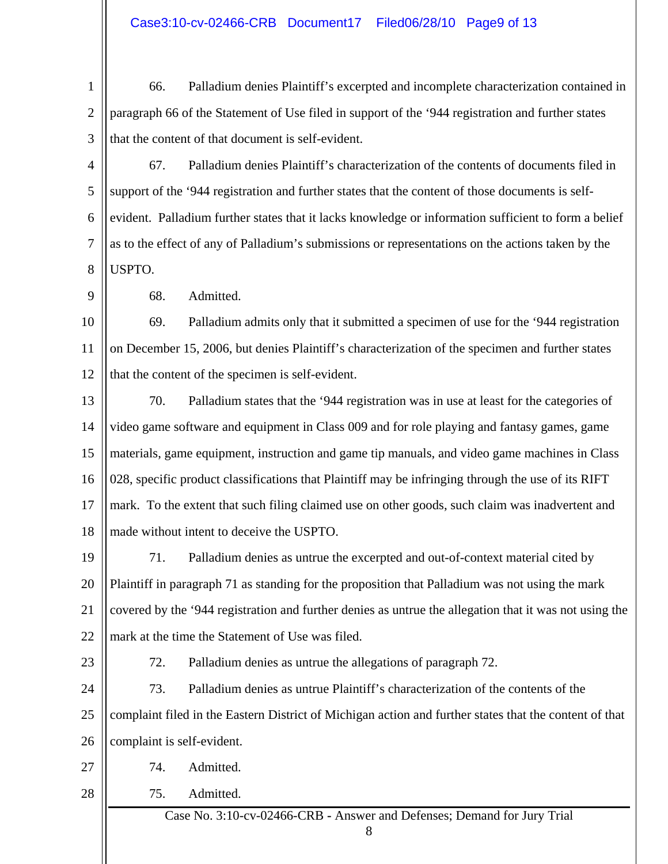1 2 3 66. Palladium denies Plaintiff's excerpted and incomplete characterization contained in paragraph 66 of the Statement of Use filed in support of the '944 registration and further states that the content of that document is self-evident.

4 5 6 7 8 67. Palladium denies Plaintiff's characterization of the contents of documents filed in support of the '944 registration and further states that the content of those documents is selfevident. Palladium further states that it lacks knowledge or information sufficient to form a belief as to the effect of any of Palladium's submissions or representations on the actions taken by the USPTO.

68. Admitted.

10 11 12 69. Palladium admits only that it submitted a specimen of use for the '944 registration on December 15, 2006, but denies Plaintiff's characterization of the specimen and further states that the content of the specimen is self-evident.

13 14 15 16 17 18 70. Palladium states that the '944 registration was in use at least for the categories of video game software and equipment in Class 009 and for role playing and fantasy games, game materials, game equipment, instruction and game tip manuals, and video game machines in Class 028, specific product classifications that Plaintiff may be infringing through the use of its RIFT mark. To the extent that such filing claimed use on other goods, such claim was inadvertent and made without intent to deceive the USPTO.

19 20 21 22 71. Palladium denies as untrue the excerpted and out-of-context material cited by Plaintiff in paragraph 71 as standing for the proposition that Palladium was not using the mark covered by the '944 registration and further denies as untrue the allegation that it was not using the mark at the time the Statement of Use was filed.

23

9

72. Palladium denies as untrue the allegations of paragraph 72.

24 25 26 73. Palladium denies as untrue Plaintiff's characterization of the contents of the complaint filed in the Eastern District of Michigan action and further states that the content of that complaint is self-evident.

- 27
- 28 75. Admitted.

74. Admitted.

Case No. 3:10-cv-02466-CRB **-** Answer and Defenses; Demand for Jury Trial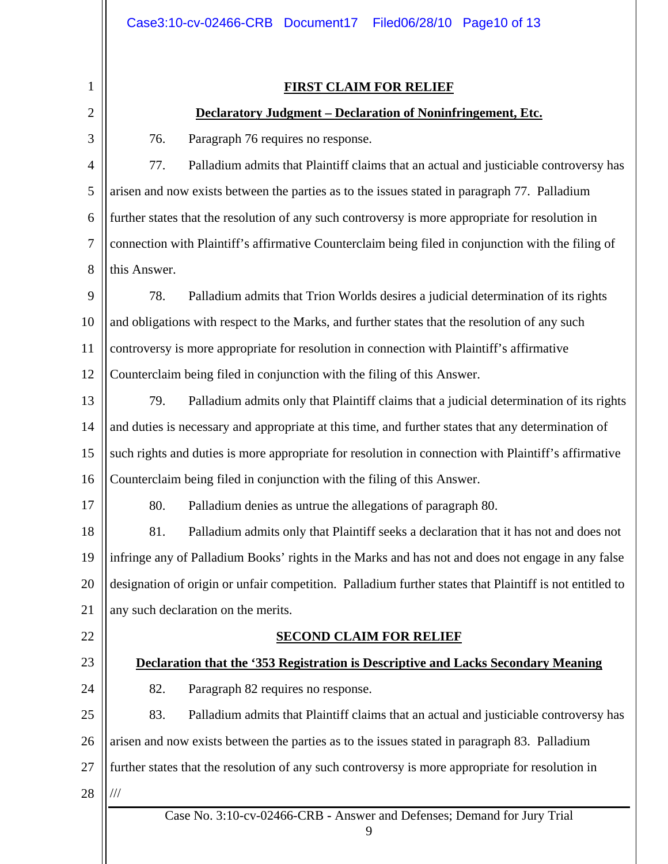## **FIRST CLAIM FOR RELIEF**

## **Declaratory Judgment – Declaration of Noninfringement, Etc.**

3

1

2

76. Paragraph 76 requires no response.

4 5 6 7 8 77. Palladium admits that Plaintiff claims that an actual and justiciable controversy has arisen and now exists between the parties as to the issues stated in paragraph 77. Palladium further states that the resolution of any such controversy is more appropriate for resolution in connection with Plaintiff's affirmative Counterclaim being filed in conjunction with the filing of this Answer.

9 10 11 12 78. Palladium admits that Trion Worlds desires a judicial determination of its rights and obligations with respect to the Marks, and further states that the resolution of any such controversy is more appropriate for resolution in connection with Plaintiff's affirmative Counterclaim being filed in conjunction with the filing of this Answer.

- 13 14 15 16 79. Palladium admits only that Plaintiff claims that a judicial determination of its rights and duties is necessary and appropriate at this time, and further states that any determination of such rights and duties is more appropriate for resolution in connection with Plaintiff's affirmative Counterclaim being filed in conjunction with the filing of this Answer.
- 17

80. Palladium denies as untrue the allegations of paragraph 80.

18 19 20 21 81. Palladium admits only that Plaintiff seeks a declaration that it has not and does not infringe any of Palladium Books' rights in the Marks and has not and does not engage in any false designation of origin or unfair competition. Palladium further states that Plaintiff is not entitled to any such declaration on the merits.

22

## **SECOND CLAIM FOR RELIEF**

## **Declaration that the '353 Registration is Descriptive and Lacks Secondary Meaning**

24

23

82. Paragraph 82 requires no response.

25 26 27 28 83. Palladium admits that Plaintiff claims that an actual and justiciable controversy has arisen and now exists between the parties as to the issues stated in paragraph 83. Palladium further states that the resolution of any such controversy is more appropriate for resolution in ///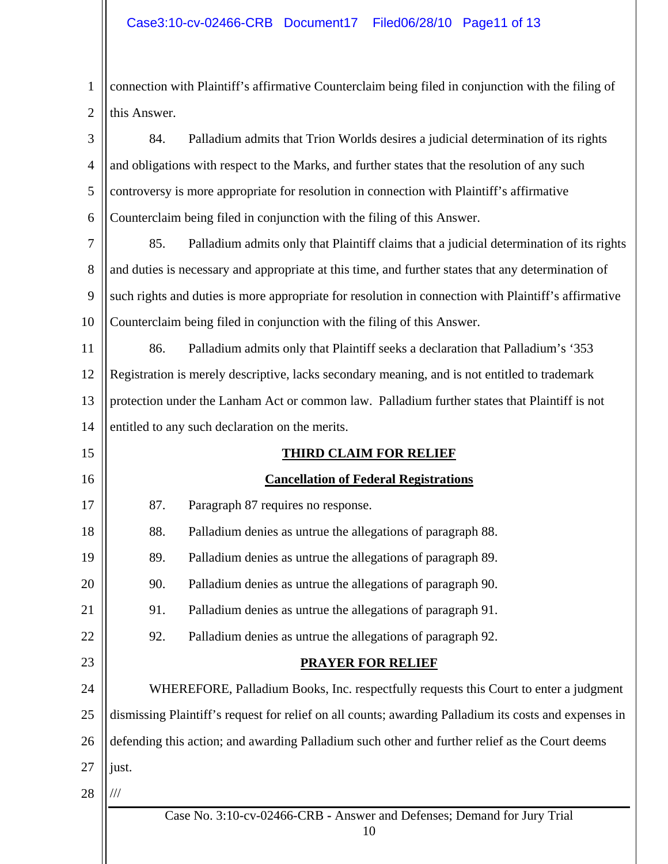1 2 connection with Plaintiff's affirmative Counterclaim being filed in conjunction with the filing of this Answer.

| 3              | 84.                                             | Palladium admits that Trion Worlds desires a judicial determination of its rights                     |  |
|----------------|-------------------------------------------------|-------------------------------------------------------------------------------------------------------|--|
| $\overline{4}$ |                                                 | and obligations with respect to the Marks, and further states that the resolution of any such         |  |
| 5              |                                                 | controversy is more appropriate for resolution in connection with Plaintiff's affirmative             |  |
| 6              |                                                 | Counterclaim being filed in conjunction with the filing of this Answer.                               |  |
| 7              | 85.                                             | Palladium admits only that Plaintiff claims that a judicial determination of its rights               |  |
| 8              |                                                 | and duties is necessary and appropriate at this time, and further states that any determination of    |  |
| 9              |                                                 | such rights and duties is more appropriate for resolution in connection with Plaintiff's affirmative  |  |
| 10             |                                                 | Counterclaim being filed in conjunction with the filing of this Answer.                               |  |
| 11             | 86.                                             | Palladium admits only that Plaintiff seeks a declaration that Palladium's '353                        |  |
| 12             |                                                 | Registration is merely descriptive, lacks secondary meaning, and is not entitled to trademark         |  |
| 13             |                                                 | protection under the Lanham Act or common law. Palladium further states that Plaintiff is not         |  |
| 14             | entitled to any such declaration on the merits. |                                                                                                       |  |
| 15             |                                                 | <b>THIRD CLAIM FOR RELIEF</b>                                                                         |  |
| 16             | <b>Cancellation of Federal Registrations</b>    |                                                                                                       |  |
| 17             | 87.                                             | Paragraph 87 requires no response.                                                                    |  |
| 18             | 88.                                             | Palladium denies as untrue the allegations of paragraph 88.                                           |  |
| 19             | 89.                                             | Palladium denies as untrue the allegations of paragraph 89.                                           |  |
| 20             | 90.                                             | Palladium denies as untrue the allegations of paragraph 90.                                           |  |
| 21             | 91.                                             | Palladium denies as untrue the allegations of paragraph 91.                                           |  |
| 22             | 92.                                             | Palladium denies as untrue the allegations of paragraph 92.                                           |  |
| 23             |                                                 | <b>PRAYER FOR RELIEF</b>                                                                              |  |
| 24             |                                                 | WHEREFORE, Palladium Books, Inc. respectfully requests this Court to enter a judgment                 |  |
| 25             |                                                 | dismissing Plaintiff's request for relief on all counts; awarding Palladium its costs and expenses in |  |
| 26             |                                                 | defending this action; and awarding Palladium such other and further relief as the Court deems        |  |
| 27             | just.                                           |                                                                                                       |  |
| 28             |                                                 |                                                                                                       |  |
|                |                                                 | Case No. 3:10-cv-02466-CRB - Answer and Defenses; Demand for Jury Trial<br>10                         |  |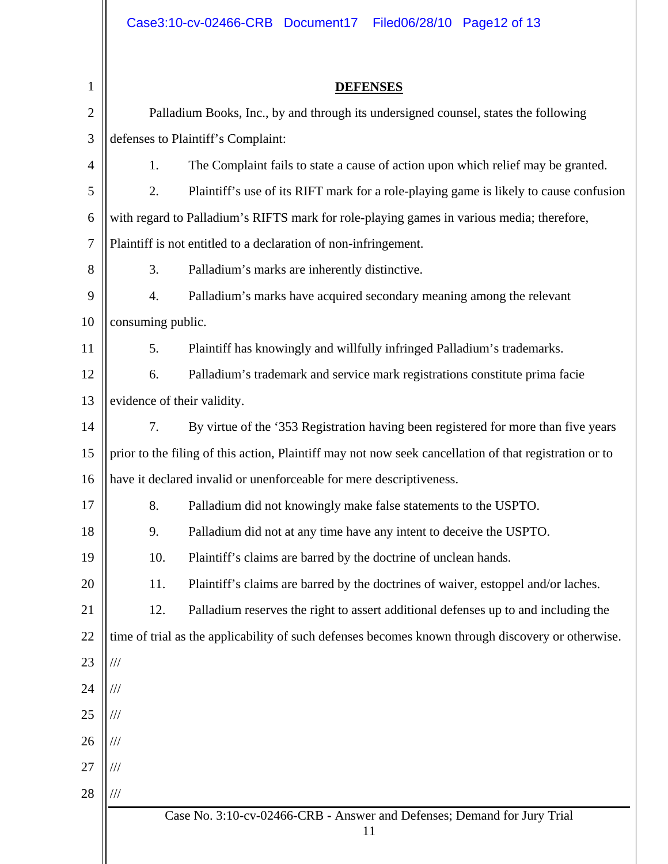| $\mathbf{1}$   |                                                                                           | <b>DEFENSES</b>                                                                                        |  |  |  |
|----------------|-------------------------------------------------------------------------------------------|--------------------------------------------------------------------------------------------------------|--|--|--|
| $\overline{2}$ |                                                                                           | Palladium Books, Inc., by and through its undersigned counsel, states the following                    |  |  |  |
| 3              | defenses to Plaintiff's Complaint:                                                        |                                                                                                        |  |  |  |
| 4              | 1.                                                                                        | The Complaint fails to state a cause of action upon which relief may be granted.                       |  |  |  |
| 5              | 2.                                                                                        | Plaintiff's use of its RIFT mark for a role-playing game is likely to cause confusion                  |  |  |  |
| 6              | with regard to Palladium's RIFTS mark for role-playing games in various media; therefore, |                                                                                                        |  |  |  |
| $\tau$         | Plaintiff is not entitled to a declaration of non-infringement.                           |                                                                                                        |  |  |  |
| 8              | 3.                                                                                        | Palladium's marks are inherently distinctive.                                                          |  |  |  |
| 9              | 4.                                                                                        | Palladium's marks have acquired secondary meaning among the relevant                                   |  |  |  |
| 10             | consuming public.                                                                         |                                                                                                        |  |  |  |
| 11             | 5.                                                                                        | Plaintiff has knowingly and willfully infringed Palladium's trademarks.                                |  |  |  |
| 12             | 6.                                                                                        | Palladium's trademark and service mark registrations constitute prima facie                            |  |  |  |
| 13             | evidence of their validity.                                                               |                                                                                                        |  |  |  |
| 14             | 7.                                                                                        | By virtue of the '353 Registration having been registered for more than five years                     |  |  |  |
| 15             |                                                                                           | prior to the filing of this action, Plaintiff may not now seek cancellation of that registration or to |  |  |  |
| 16             | have it declared invalid or unenforceable for mere descriptiveness.                       |                                                                                                        |  |  |  |
| 17             | 8.                                                                                        | Palladium did not knowingly make false statements to the USPTO.                                        |  |  |  |
| 18             | 9.                                                                                        | Palladium did not at any time have any intent to deceive the USPTO.                                    |  |  |  |
| 19             | 10.                                                                                       | Plaintiff's claims are barred by the doctrine of unclean hands.                                        |  |  |  |
| 20             | 11.                                                                                       | Plaintiff's claims are barred by the doctrines of waiver, estoppel and/or laches.                      |  |  |  |
| 21             | 12.                                                                                       | Palladium reserves the right to assert additional defenses up to and including the                     |  |  |  |
| 22             |                                                                                           | time of trial as the applicability of such defenses becomes known through discovery or otherwise.      |  |  |  |
| 23             | ///                                                                                       |                                                                                                        |  |  |  |
| 24             | ///                                                                                       |                                                                                                        |  |  |  |
| 25             | ///                                                                                       |                                                                                                        |  |  |  |
| 26             | ///                                                                                       |                                                                                                        |  |  |  |
| 27             | ///                                                                                       |                                                                                                        |  |  |  |
| 28             | ///                                                                                       |                                                                                                        |  |  |  |
|                | Case No. 3:10-cv-02466-CRB - Answer and Defenses; Demand for Jury Trial                   |                                                                                                        |  |  |  |
|                |                                                                                           | 11                                                                                                     |  |  |  |